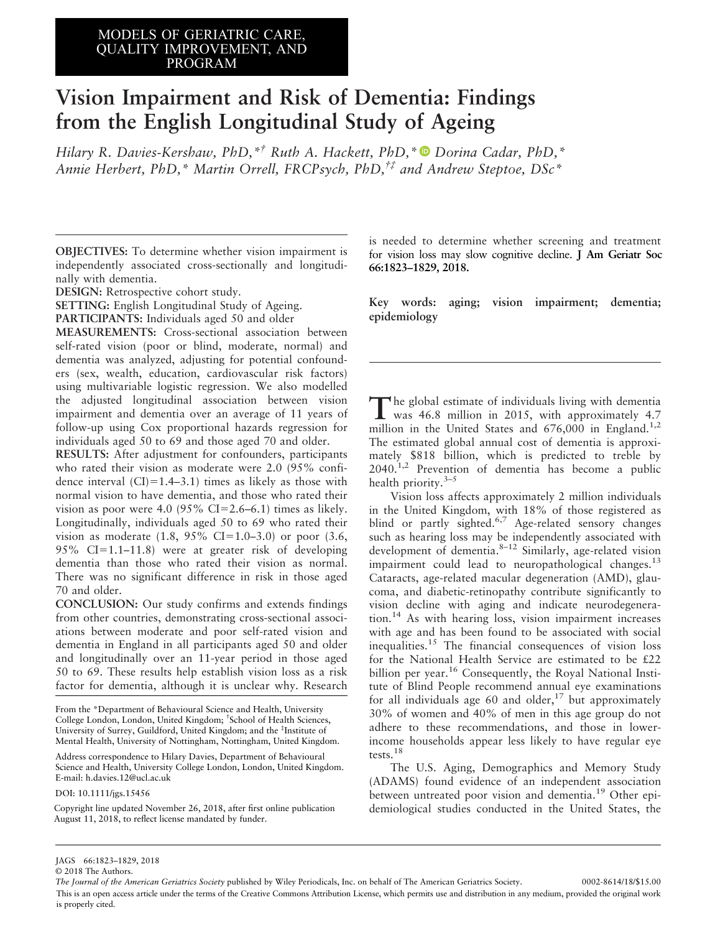# MODELS OF GERIATRIC CARE,<br>OULLIEV DARROVELEUT LUB QUALITY IMPROVEMENT, AND PROGRAM

# Vision Impairment and Risk of Dementia: Findings from the English Longitudinal Study of Ageing

Hilary R. Davies-Kershaw, PhD,<sup>\*†</sup> Ruth A. Hackett, PhD,\*<sup>D</sup> Dorina Cadar, PhD,\* Annie Herbert, PhD,\* Martin Orrell, FRCPsych, PhD,†‡ and Andrew Steptoe, DSc\*

OBJECTIVES: To determine whether vision impairment is independently associated cross-sectionally and longitudinally with dementia.

DESIGN: Retrospective cohort study.

SETTING: English Longitudinal Study of Ageing.

PARTICIPANTS: Individuals aged 50 and older

MEASUREMENTS: Cross-sectional association between self-rated vision (poor or blind, moderate, normal) and dementia was analyzed, adjusting for potential confounders (sex, wealth, education, cardiovascular risk factors) using multivariable logistic regression. We also modelled the adjusted longitudinal association between vision impairment and dementia over an average of 11 years of follow-up using Cox proportional hazards regression for individuals aged 50 to 69 and those aged 70 and older.

RESULTS: After adjustment for confounders, participants who rated their vision as moderate were 2.0 (95% confidence interval  $(CI) = 1.4-3.1$  times as likely as those with normal vision to have dementia, and those who rated their vision as poor were 4.0 (95% CI=2.6–6.1) times as likely. Longitudinally, individuals aged 50 to 69 who rated their vision as moderate  $(1.8, 95\% \text{ CI} = 1.0 - 3.0)$  or poor  $(3.6, 1.0)$ 95% CI=1.1–11.8) were at greater risk of developing dementia than those who rated their vision as normal. There was no significant difference in risk in those aged 70 and older.

CONCLUSION: Our study confirms and extends findings from other countries, demonstrating cross-sectional associations between moderate and poor self-rated vision and dementia in England in all participants aged 50 and older and longitudinally over an 11-year period in those aged 50 to 69. These results help establish vision loss as a risk factor for dementia, although it is unclear why. Research

University of Surrey, Guildford, United Kingdom; and the <sup>‡</sup>Institute of University of Surrey, Guildford, United Kingdom; and the Tristitute of Mental Health, University of Nottingham, Nottingham, United Kingdom. From the \*Department of Behavioural Science and Health, University College London, London, United Kingdom; † School of Health Sciences,

Address correspondence to Hilary Davies, Department of Behavioural Science and Health, University College London, London, United Kingdom.<br>E mail: h davies 12@ucl ac uk E-mail: h.davies.12@ucl.ac.uk

DOI: 10.1111/jgs.15456

Copyright line updated November 26, 2018, after first online publication August 11, 2018, to reflect license mandated by funder.

is needed to determine whether screening and treatment for vision loss may slow cognitive decline. J Am Geriatr for vision loss may slow cognitive decline. **J Am Geriatr Soc** Soc 2018. **66:1823–1829, 2018.**

Key words: aging; vision impairment; dementia; epidemiology

The global estimate of individuals living with dementia<br>was 46.8 million in 2015, with approximately 4.7 million in the United States and  $676,000$  in England.<sup>1,2</sup> The estimated global annual cost of dementia is approximately \$818 billion, which is predicted to treble by  $2040<sup>1,2</sup>$  Prevention of dementia has become a public health priority. $3-5$ 

Vision loss affects approximately 2 million individuals in the United Kingdom, with 18% of those registered as blind or partly sighted.<sup>6,7</sup> Age-related sensory changes such as hearing loss may be independently associated with development of dementia.8–12 Similarly, age-related vision impairment could lead to neuropathological changes.<sup>13</sup> Cataracts, age-related macular degeneration (AMD), glaucoma, and diabetic-retinopathy contribute significantly to vision decline with aging and indicate neurodegeneration.<sup>14</sup> As with hearing loss, vision impairment increases with age and has been found to be associated with social inequalities.<sup>15</sup> The financial consequences of vision loss for the National Health Service are estimated to be £22 billion per year.<sup>16</sup> Consequently, the Royal National Institute of Blind People recommend annual eye examinations for all individuals age 60 and older,  $17$  but approximately 30% of women and 40% of men in this age group do not adhere to these recommendations, and those in lowerincome households appear less likely to have regular eye tests.<sup>18</sup>

The U.S. Aging, Demographics and Memory Study (ADAMS) found evidence of an independent association between untreated poor vision and dementia.<sup>19</sup> Other epidemiological studies conducted in the United States, the

JAGS 66:1823-1829, 2018

 $\overline{O}$  2018 The Authors.

The Journal of the American Geriatrics Society published by Wiley Periodicals, Inc. on behalf of The American Geriatrics Society. 0002-8614/18/\$15.00 This is an open access article under the terms of the Creative Commons Attribution License, which permits use and distribution in any medium, provided the original work is properly cited.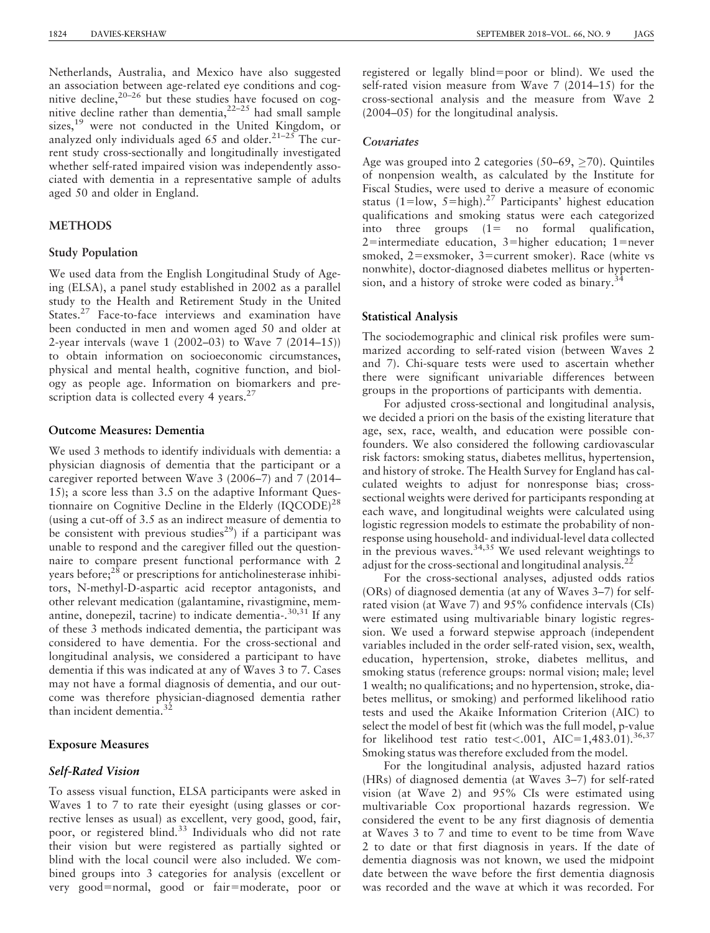Netherlands, Australia, and Mexico have also suggested an association between age-related eye conditions and cognitive decline,<sup>20-26</sup> but these studies have focused on cognitive decline rather than dementia, $2^{2-25}$  had small sample sizes,<sup>19</sup> were not conducted in the United Kingdom, or analyzed only individuals aged 65 and older.<sup>21–25</sup> The current study cross-sectionally and longitudinally investigated whether self-rated impaired vision was independently associated with dementia in a representative sample of adults aged 50 and older in England.

#### **METHODS**

#### Study Population

We used data from the English Longitudinal Study of Ageing (ELSA), a panel study established in 2002 as a parallel study to the Health and Retirement Study in the United States.<sup>27</sup> Face-to-face interviews and examination have been conducted in men and women aged 50 and older at 2-year intervals (wave 1 (2002–03) to Wave 7 (2014–15)) to obtain information on socioeconomic circumstances, physical and mental health, cognitive function, and biology as people age. Information on biomarkers and prescription data is collected every 4 years.<sup>27</sup>

# Outcome Measures: Dementia

We used 3 methods to identify individuals with dementia: a physician diagnosis of dementia that the participant or a caregiver reported between Wave 3 (2006–7) and 7 (2014– 15); a score less than 3.5 on the adaptive Informant Questionnaire on Cognitive Decline in the Elderly  $(IQCODE)^{28}$ (using a cut-off of 3.5 as an indirect measure of dementia to be consistent with previous studies<sup>29</sup>) if a participant was unable to respond and the caregiver filled out the questionnaire to compare present functional performance with 2 years before; $2^{8}$  or prescriptions for anticholinesterase inhibitors, N-methyl-D-aspartic acid receptor antagonists, and other relevant medication (galantamine, rivastigmine, memantine, donepezil, tacrine) to indicate dementia- $^{30,31}$  If any of these 3 methods indicated dementia, the participant was considered to have dementia. For the cross-sectional and longitudinal analysis, we considered a participant to have dementia if this was indicated at any of Waves 3 to 7. Cases may not have a formal diagnosis of dementia, and our outcome was therefore physician-diagnosed dementia rather than incident dementia.<sup>3</sup> **Outcome Measures: Dementia**<br>We used 3 methods to identify i<br>physician diagnosis of dementi<br>caregiver reported between Wav<br>15); a score less than 3.5 on th<br>tionnaire on Cognitive Decline<br>(using a cut-off of 3.5 as an indi

#### **Exposure Measures**

#### Self-rated vision *Self-Rated Vision*

To assess visual function, ELSA participants were asked in Waves 1 to 7 to rate their eyesight (using glasses or corrective lenses as usual) as excellent, very good, good, fair, poor, or registered blind.<sup>33</sup> Individuals who did not rate their vision but were registered as partially sighted or blind with the local council were also included. We combined groups into 3 categories for analysis (excellent or very good=normal, good or fair=moderate, poor or

registered or legally blind=poor or blind). We used the self-rated vision measure from Wave 7 (2014–15) for the cross-sectional analysis and the measure from Wave 2 (2004–05) for the longitudinal analysis.

### **Covariates**

Age was grouped into 2 categories (50–69,  $\geq$ 70). Quintiles of nonpension wealth, as calculated by the Institute for Fiscal Studies, were used to derive a measure of economic status (1=low, 5=high).<sup>27</sup> Participants' highest education qualifications and smoking status were each categorized into three groups  $(1=$  no formal qualification,  $2$ =intermediate education,  $3$ =higher education;  $1$ =never smoked,  $2$ =exsmoker,  $3$ =current smoker). Race (white vs nonwhite), doctor-diagnosed diabetes mellitus or hypertension, and a history of stroke were coded as binary.<sup>34</sup>

## Statistical analysis **Statistical Analysis**

The sociodemographic and clinical risk profiles were summarized according to self-rated vision (between Waves 2 and 7). Chi-square tests were used to ascertain whether there were significant univariable differences between groups in the proportions of participants with dementia.

For adjusted cross-sectional and longitudinal analysis, we decided a priori on the basis of the existing literature that age, sex, race, wealth, and education were possible confounders. We also considered the following cardiovascular risk factors: smoking status, diabetes mellitus, hypertension, and history of stroke. The Health Survey for England has calculated weights to adjust for nonresponse bias; crosssectional weights were derived for participants responding at each wave, and longitudinal weights were calculated using logistic regression models to estimate the probability of nonresponse using household- and individual-level data collected in the previous waves.  $34,35$  We used relevant weightings to adjust for the cross-sectional and longitudinal analysis.<sup>22</sup>

For the cross-sectional analyses, adjusted odds ratios (ORs) of diagnosed dementia (at any of Waves 3–7) for selfrated vision (at Wave 7) and 95% confidence intervals (CIs) were estimated using multivariable binary logistic regression. We used a forward stepwise approach (independent variables included in the order self-rated vision, sex, wealth, education, hypertension, stroke, diabetes mellitus, and smoking status (reference groups: normal vision; male; level 1 wealth; no qualifications; and no hypertension, stroke, diabetes mellitus, or smoking) and performed likelihood ratio tests and used the Akaike Information Criterion (AIC) to select the model of best fit (which was the full model, p-value for likelihood test ratio test<.001, AIC=1,483.01).<sup>36,37</sup> Smoking status was therefore excluded from the model.

For the longitudinal analysis, adjusted hazard ratios (HRs) of diagnosed dementia (at Waves 3–7) for self-rated vision (at Wave 2) and 95% CIs were estimated using multivariable Cox proportional hazards regression. We considered the event to be any first diagnosis of dementia at Waves 3 to 7 and time to event to be time from Wave 2 to date or that first diagnosis in years. If the date of dementia diagnosis was not known, we used the midpoint date between the wave before the first dementia diagnosis was recorded and the wave at which it was recorded. For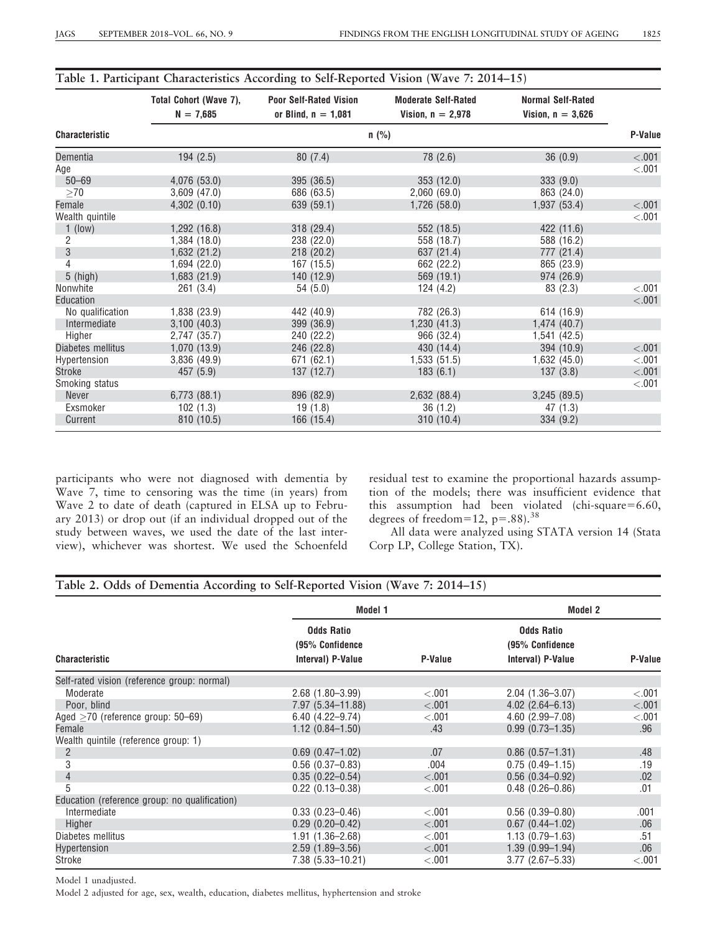| <b>Characteristic</b> | Total Cohort (Wave 7),<br>$N = 7,685$ | <b>Poor Self-Rated Vision</b><br>or Blind, $n = 1,081$ | <b>Moderate Self-Rated</b><br>Vision, $n = 2.978$ | <b>Normal Self-Rated</b><br>Vision, $n = 3,626$ |         |
|-----------------------|---------------------------------------|--------------------------------------------------------|---------------------------------------------------|-------------------------------------------------|---------|
|                       | $n$ (%)                               |                                                        |                                                   |                                                 |         |
| Dementia              | 194(2.5)                              | 80(7.4)                                                | 78 (2.6)                                          | 36(0.9)                                         | < .001  |
| Age                   |                                       |                                                        |                                                   |                                                 | $-.001$ |
| $50 - 69$             | 4,076 (53.0)                          | 395 (36.5)                                             | 353 (12.0)                                        | 333(9.0)                                        |         |
| $\geq 70$             | $3,609$ $(47.0)$                      | 686 (63.5)                                             | 2,060(69.0)                                       | 863 (24.0)                                      |         |
| Female                | 4,302(0.10)                           | 639 (59.1)                                             | 1,726(58.0)                                       | 1,937(53.4)                                     | < 0.001 |
| Wealth quintile       |                                       |                                                        |                                                   |                                                 | < .001  |
| $1$ (low)             | 1,292 (16.8)                          | 318(29.4)                                              | 552 (18.5)                                        | 422 (11.6)                                      |         |
| 2                     | 1,384 (18.0)                          | 238 (22.0)                                             | 558 (18.7)                                        | 588 (16.2)                                      |         |
| 3                     | 1,632 (21.2)                          | 218 (20.2)                                             | 637 (21.4)                                        | 777 (21.4)                                      |         |
| 4                     | 1,694 (22.0)                          | 167 (15.5)                                             | 662 (22.2)                                        | 865 (23.9)                                      |         |
| $5$ (high)            | 1,683(21.9)                           | 140 (12.9)                                             | 569 (19.1)                                        | 974 (26.9)                                      |         |
| Nonwhite              | 261(3.4)                              | 54(5.0)                                                | 124(4.2)                                          | 83(2.3)                                         | < .001  |
| Education             |                                       |                                                        |                                                   |                                                 | < .001  |
| No qualification      | 1,838 (23.9)                          | 442 (40.9)                                             | 782 (26.3)                                        | 614 (16.9)                                      |         |
| Intermediate          | 3,100(40.3)                           | 399 (36.9)                                             | 1,230(41.3)                                       | 1,474 (40.7)                                    |         |
| Higher                | 2,747 (35.7)                          | 240 (22.2)                                             | 966 (32.4)                                        | 1,541 (42.5)                                    |         |
| Diabetes mellitus     | 1,070 (13.9)                          | 246 (22.8)                                             | 430 (14.4)                                        | 394 (10.9)                                      | < .001  |
| Hypertension          | 3,836(49.9)                           | 671 (62.1)                                             | 1,533(51.5)                                       | 1,632(45.0)                                     | < .001  |
| Stroke                | 457 (5.9)                             | 137(12.7)                                              | 183(6.1)                                          | 137(3.8)                                        | < 0.001 |
| Smoking status        |                                       |                                                        |                                                   |                                                 | < 0.001 |
| Never                 | 6,773(88.1)                           | 896 (82.9)                                             | 2,632 (88.4)                                      | 3,245(89.5)                                     |         |
| Exsmoker              | 102(1.3)                              | 19(1.8)                                                | 36(1.2)                                           | 47(1.3)                                         |         |
| Current               | 810 (10.5)                            | 166(15.4)                                              | 310(10.4)                                         | 334(9.2)                                        |         |

# Table 1. Participant Characteristics According to Self-Reported Vision (Wave 7: 2014–15)

participants who were not diagnosed with dementia by Wave 7, time to censoring was the time (in years) from Wave 2 to date of death (captured in ELSA up to February 2013) or drop out (if an individual dropped out of the study between waves, we used the date of the last interview), whichever was shortest. We used the Schoenfeld residual test to examine the proportional hazards assumption of the models; there was insufficient evidence that this assumption had been violated (chi-square= $6.60$ , degrees of freedom=12,  $p=.88$ .<sup>38</sup>

All data were analyzed using STATA version 14 (Stata Corp LP, College Station, TX).

# Table 2. Odds of Dementia According to Self-Reported Vision (Wave 7: 2014–15)

|                                               | Model 1                                                   |         | <b>Model 2</b>                                            |         |
|-----------------------------------------------|-----------------------------------------------------------|---------|-----------------------------------------------------------|---------|
| <b>Characteristic</b>                         | <b>Odds Ratio</b><br>(95% Confidence<br>Interval) P-Value | P-Value | <b>Odds Ratio</b><br>(95% Confidence<br>Interval) P-Value | P-Value |
| Self-rated vision (reference group: normal)   |                                                           |         |                                                           |         |
| Moderate                                      | $2.68(1.80 - 3.99)$                                       | < .001  | $2.04(1.36 - 3.07)$                                       | < 0.001 |
| Poor, blind                                   | 7.97 (5.34-11.88)                                         | $-.001$ | $4.02$ $(2.64 - 6.13)$                                    | < .001  |
| Aged $>70$ (reference group: 50–69)           | $6.40(4.22 - 9.74)$                                       | < 0.001 | $4.60(2.99 - 7.08)$                                       | < 0.001 |
| Female                                        | $1.12(0.84 - 1.50)$                                       | .43     | $0.99(0.73 - 1.35)$                                       | .96     |
| Wealth quintile (reference group: 1)          |                                                           |         |                                                           |         |
| 2                                             | $0.69(0.47 - 1.02)$                                       | .07     | $0.86$ $(0.57 - 1.31)$                                    | .48     |
| 3                                             | $0.56(0.37-0.83)$                                         | .004    | $0.75(0.49 - 1.15)$                                       | .19     |
| $\overline{4}$                                | $0.35(0.22 - 0.54)$                                       | < .001  | $0.56(0.34 - 0.92)$                                       | .02     |
| 5                                             | $0.22(0.13 - 0.38)$                                       | < 0.001 | $0.48(0.26 - 0.86)$                                       | .01     |
| Education (reference group: no qualification) |                                                           |         |                                                           |         |
| Intermediate                                  | $0.33(0.23 - 0.46)$                                       | < 0.001 | $0.56(0.39 - 0.80)$                                       | .001    |
| Higher                                        | $0.29(0.20 - 0.42)$                                       | $-.001$ | $0.67(0.44 - 1.02)$                                       | .06     |
| Diabetes mellitus                             | 1.91 (1.36-2.68)                                          | < 0.001 | $1.13(0.79 - 1.63)$                                       | .51     |
| Hypertension                                  | $2.59(1.89 - 3.56)$                                       | < .001  | $1.39(0.99 - 1.94)$                                       | .06     |
| Stroke                                        | 7.38 (5.33-10.21)                                         | < 0.001 | $3.77(2.67 - 5.33)$                                       | < 0.001 |

Model 1 unadjusted.

Model 2 adjusted for age, sex, wealth, education, diabetes mellitus, hyphertension and stroke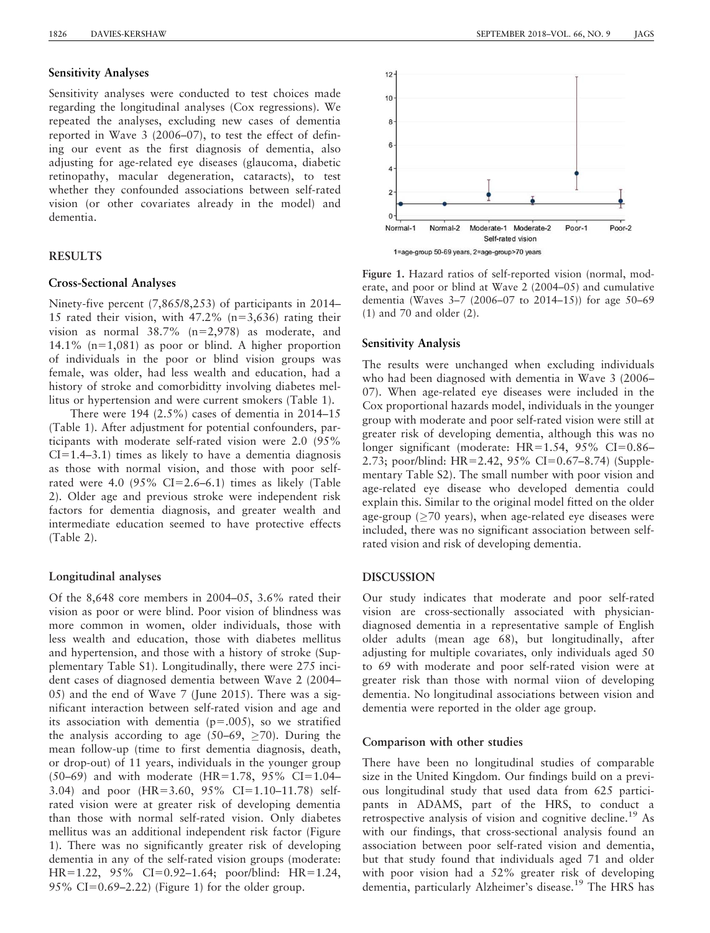#### Sensitivity analyses **Sensitivity Analyses**

Sensitivity analyses were conducted to test choices made regarding the longitudinal analyses (Cox regressions). We repeated the analyses, excluding new cases of dementia reported in Wave 3 (2006–07), to test the effect of defining our event as the first diagnosis of dementia, also adjusting for age-related eye diseases (glaucoma, diabetic retinopathy, macular degeneration, cataracts), to test whether they confounded associations between self-rated vision (or other covariates already in the model) and dementia.

#### RESULTS

#### Cross-sectional analyses **Cross-Sectional Analyses**

Ninety-five percent (7,865/8,253) of participants in 2014– 15 rated their vision, with  $47.2\%$  (n=3,636) rating their vision as normal  $38.7\%$  (n=2,978) as moderate, and 14.1% ( $n=1,081$ ) as poor or blind. A higher proportion of individuals in the poor or blind vision groups was female, was older, had less wealth and education, had a history of stroke and comorbiditty involving diabetes mellitus or hypertension and were current smokers (Table 1).

There were 194 (2.5%) cases of dementia in 2014–15 (Table 1). After adjustment for potential confounders, participants with moderate self-rated vision were 2.0 (95%  $CI=1.4-3.1$ ) times as likely to have a dementia diagnosis as those with normal vision, and those with poor selfrated were 4.0  $(95\% \text{ CI} = 2.6-6.1)$  times as likely (Table 2). Older age and previous stroke were independent risk factors for dementia diagnosis, and greater wealth and intermediate education seemed to have protective effects (Table 2).

#### Longitudinal analyses

Of the 8,648 core members in 2004–05, 3.6% rated their vision as poor or were blind. Poor vision of blindness was more common in women, older individuals, those with less wealth and education, those with diabetes mellitus and hypertension, and those with a history of stroke (Supplementary Table S1). Longitudinally, there were 275 incident cases of diagnosed dementia between Wave 2 (2004– 05) and the end of Wave 7 (June 2015). There was a significant interaction between self-rated vision and age and its association with dementia  $(p=.005)$ , so we stratified the analysis according to age (50–69,  $\geq$ 70). During the mean follow-up (time to first dementia diagnosis, death, or drop-out) of 11 years, individuals in the younger group (50–69) and with moderate (HR=1.78, 95% CI=1.04– 3.04) and poor  $(HR=3.60, 95\% \text{ CI}=1.10-11.78) \text{ self-}$ rated vision were at greater risk of developing dementia than those with normal self-rated vision. Only diabetes mellitus was an additional independent risk factor (Figure 1). There was no significantly greater risk of developing dementia in any of the self-rated vision groups (moderate: HR=1.22,  $95\%$  CI=0.92–1.64; poor/blind: HR=1.24, 95% CI=0.69–2.22) (Figure 1) for the older group.



Figure 1. Hazard ratios of self-reported vision (normal, moderate, and poor or blind at Wave 2 (2004–05) and cumulative dementia (Waves 3–7 (2006–07 to 2014–15)) for age 50–69 (1) and 70 and older (2).

### Sensitivity analysis **Sensitivity Analysis**

The results were unchanged when excluding individuals who had been diagnosed with dementia in Wave 3 (2006– 07). When age-related eye diseases were included in the Cox proportional hazards model, individuals in the younger group with moderate and poor self-rated vision were still at greater risk of developing dementia, although this was no longer significant (moderate:  $HR=1.54$ , 95% CI=0.86– 2.73; poor/blind: HR=2.42, 95% CI=0.67–8.74) (Supplementary Table S2). The small number with poor vision and age-related eye disease who developed dementia could explain this. Similar to the original model fitted on the older age-group ( $\geq$ 70 years), when age-related eye diseases were included, there was no significant association between selfrated vision and risk of developing dementia.

#### DISCUSSION

Our study indicates that moderate and poor self-rated vision are cross-sectionally associated with physiciandiagnosed dementia in a representative sample of English older adults (mean age 68), but longitudinally, after adjusting for multiple covariates, only individuals aged 50 to 69 with moderate and poor self-rated vision were at greater risk than those with normal viion of developing dementia. No longitudinal associations between vision and dementia were reported in the older age group.

#### Comparison with other studies

There have been no longitudinal studies of comparable size in the United Kingdom. Our findings build on a previous longitudinal study that used data from 625 participants in ADAMS, part of the HRS, to conduct a retrospective analysis of vision and cognitive decline.<sup>19</sup> As with our findings, that cross-sectional analysis found an association between poor self-rated vision and dementia, but that study found that individuals aged 71 and older with poor vision had a 52% greater risk of developing dementia, particularly Alzheimer's disease.<sup>19</sup> The HRS has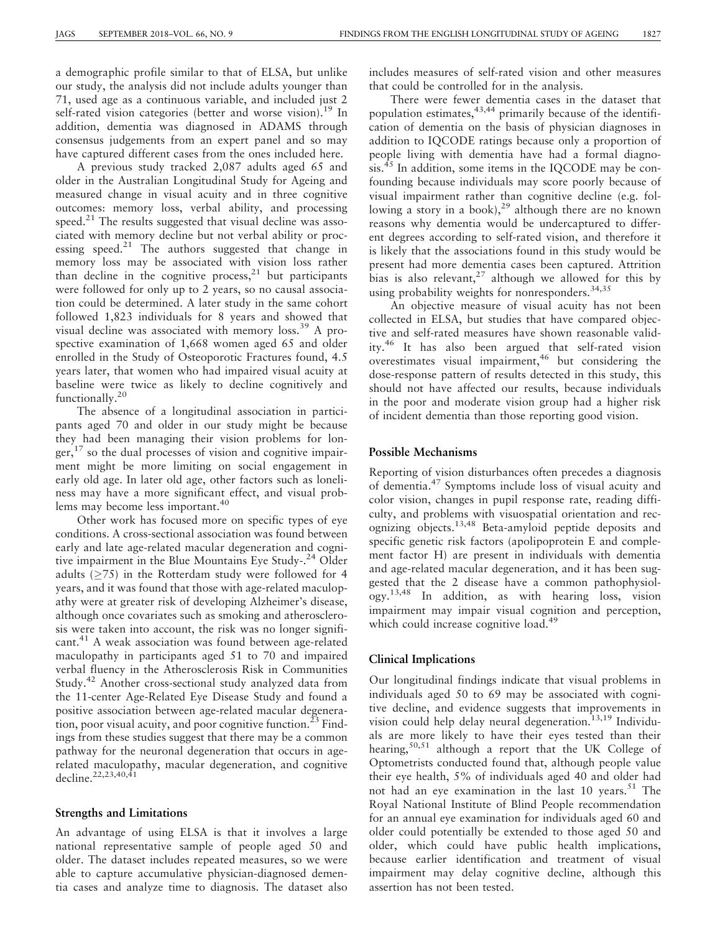a demographic profile similar to that of ELSA, but unlike our study, the analysis did not include adults younger than 71, used age as a continuous variable, and included just 2 self-rated vision categories (better and worse vision).<sup>19</sup> In addition, dementia was diagnosed in ADAMS through consensus judgements from an expert panel and so may have captured different cases from the ones included here.

A previous study tracked 2,087 adults aged 65 and older in the Australian Longitudinal Study for Ageing and measured change in visual acuity and in three cognitive outcomes: memory loss, verbal ability, and processing speed.<sup>21</sup> The results suggested that visual decline was associated with memory decline but not verbal ability or processing speed.<sup>21</sup> The authors suggested that change in memory loss may be associated with vision loss rather than decline in the cognitive process, $2<sup>1</sup>$  but participants were followed for only up to 2 years, so no causal association could be determined. A later study in the same cohort followed 1,823 individuals for 8 years and showed that visual decline was associated with memory loss.<sup>39</sup> A prospective examination of 1,668 women aged 65 and older enrolled in the Study of Osteoporotic Fractures found, 4.5 years later, that women who had impaired visual acuity at baseline were twice as likely to decline cognitively and functionally.<sup>20</sup>

The absence of a longitudinal association in participants aged 70 and older in our study might be because they had been managing their vision problems for longer, $^{17}$  so the dual processes of vision and cognitive impairment might be more limiting on social engagement in early old age. In later old age, other factors such as loneliness may have a more significant effect, and visual problems may become less important.<sup>40</sup>

Other work has focused more on specific types of eye conditions. A cross-sectional association was found between early and late age-related macular degeneration and cognitive impairment in the Blue Mountains Eye Study-.<sup>24</sup> Older adults ( $\geq$ 75) in the Rotterdam study were followed for 4 years, and it was found that those with age-related maculopathy were at greater risk of developing Alzheimer's disease, although once covariates such as smoking and atherosclerosis were taken into account, the risk was no longer significant.<sup>41</sup> A weak association was found between age-related maculopathy in participants aged 51 to 70 and impaired verbal fluency in the Atherosclerosis Risk in Communities Study.42 Another cross-sectional study analyzed data from the 11-center Age-Related Eye Disease Study and found a positive association between age-related macular degeneration, poor visual acuity, and poor cognitive function.<sup>23</sup> Findings from these studies suggest that there may be a common pathway for the neuronal degeneration that occurs in agerelated maculopathy, macular degeneration, and cognitive decline.22,23,40,41

# Strengths and limitations **Strengths and Limitations**

An advantage of using ELSA is that it involves a large national representative sample of people aged 50 and older. The dataset includes repeated measures, so we were able to capture accumulative physician-diagnosed dementia cases and analyze time to diagnosis. The dataset also includes measures of self-rated vision and other measures that could be controlled for in the analysis.

There were fewer dementia cases in the dataset that population estimates,  $43,44$  primarily because of the identification of dementia on the basis of physician diagnoses in addition to IQCODE ratings because only a proportion of people living with dementia have had a formal diagno- $\sin^{45}$  In addition, some items in the IQCODE may be confounding because individuals may score poorly because of visual impairment rather than cognitive decline (e.g. following a story in a book), $^{29}$  although there are no known reasons why dementia would be undercaptured to different degrees according to self-rated vision, and therefore it is likely that the associations found in this study would be present had more dementia cases been captured. Attrition bias is also relevant,  $27$  although we allowed for this by using probability weights for nonresponders.<sup>34,35</sup>

An objective measure of visual acuity has not been collected in ELSA, but studies that have compared objective and self-rated measures have shown reasonable validity.<sup>46</sup> It has also been argued that self-rated vision overestimates visual impairment, $46$  but considering the dose-response pattern of results detected in this study, this should not have affected our results, because individuals in the poor and moderate vision group had a higher risk of incident dementia than those reporting good vision.

## Possible mechanisms **Possible Mechanisms**

Reporting of vision disturbances often precedes a diagnosis of dementia.<sup>47</sup> Symptoms include loss of visual acuity and color vision, changes in pupil response rate, reading difficulty, and problems with visuospatial orientation and recognizing objects.13,48 Beta-amyloid peptide deposits and specific genetic risk factors (apolipoprotein E and complement factor H) are present in individuals with dementia and age-related macular degeneration, and it has been suggested that the 2 disease have a common pathophysiology.13,48 In addition, as with hearing loss, vision impairment may impair visual cognition and perception, which could increase cognitive load.<sup>49</sup>

#### Clinical implications **Clinical Implications**

Our longitudinal findings indicate that visual problems in individuals aged 50 to 69 may be associated with cognitive decline, and evidence suggests that improvements in vision could help delay neural degeneration.<sup>13,19</sup> Individuals are more likely to have their eyes tested than their hearing,50,51 although a report that the UK College of Optometrists conducted found that, although people value their eye health, 5% of individuals aged 40 and older had not had an eye examination in the last 10 years.<sup>51</sup> The Royal National Institute of Blind People recommendation for an annual eye examination for individuals aged 60 and older could potentially be extended to those aged 50 and older, which could have public health implications, because earlier identification and treatment of visual impairment may delay cognitive decline, although this assertion has not been tested.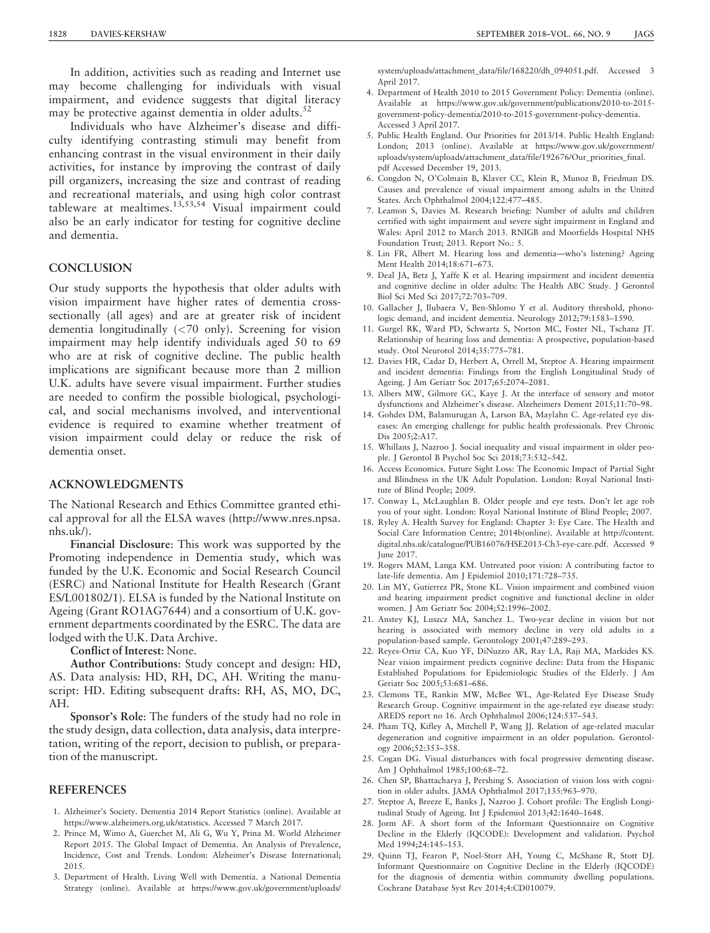In addition, activities such as reading and Internet use may become challenging for individuals with visual impairment, and evidence suggests that digital literacy may be protective against dementia in older adults.<sup>52</sup>

Individuals who have Alzheimer's disease and difficulty identifying contrasting stimuli may benefit from enhancing contrast in the visual environment in their daily activities, for instance by improving the contrast of daily pill organizers, increasing the size and contrast of reading and recreational materials, and using high color contrast tableware at mealtimes.<sup>13,53,54</sup> Visual impairment could also be an early indicator for testing for cognitive decline and dementia.

# **CONCLUSION**

Our study supports the hypothesis that older adults with vision impairment have higher rates of dementia crosssectionally (all ages) and are at greater risk of incident dementia longitudinally (<70 only). Screening for vision impairment may help identify individuals aged 50 to 69 who are at risk of cognitive decline. The public health implications are significant because more than 2 million U.K. adults have severe visual impairment. Further studies are needed to confirm the possible biological, psychological, and social mechanisms involved, and interventional evidence is required to examine whether treatment of vision impairment could delay or reduce the risk of dementia onset.

#### ACKNOWLEDGMENTS

The National Research and Ethics Committee granted ethical approval for all the ELSA waves (http://www.nres.npsa. nhs.uk/).

Financial Disclosure: This work was supported by the Promoting independence in Dementia study, which was funded by the U.K. Economic and Social Research Council (ESRC) and National Institute for Health Research (Grant ES/L001802/1). ELSA is funded by the National Institute on Ageing (Grant RO1AG7644) and a consortium of U.K. government departments coordinated by the ESRC. The data are lodged with the U.K. Data Archive.

Conflict of Interest: None.

Author Contributions: Study concept and design: HD, AS. Data analysis: HD, RH, DC, AH. Writing the manuscript: HD. Editing subsequent drafts: RH, AS, MO, DC, AH.

Sponsor's Role: The funders of the study had no role in the study design, data collection, data analysis, data interpretation, writing of the report, decision to publish, or preparation of the manuscript.

#### **REFERENCES**

- 1. Alzheimer's Society. Dementia 2014 Report Statistics (online). Available at https://www.alzheimers.org.uk/statistics. Accessed 7 March 2017.
- 2. Prince M, Wimo A, Guerchet M, Ali G, Wu Y, Prina M. World Alzheimer Report 2015. The Global Impact of Dementia. An Analysis of Prevalence, Incidence, Cost and Trends. London: Alzheimer's Disease International; 2015.
- 3. Department of Health. Living Well with Dementia. a National Dementia Strategy (online). Available at https://www.gov.uk/government/uploads/

system/uploads/attachment\_data/file/168220/dh\_094051.pdf. Accessed 3 April 2017.

- 4. Department of Health 2010 to 2015 Government Policy: Dementia (online). Available at https://www.gov.uk/government/publications/2010-to-2015 government-policy-dementia/2010-to-2015-government-policy-dementia. Accessed 3 April 2017.
- 5. Public Health England. Our Priorities for 2013/14. Public Health England: London; 2013 (online). Available at https://www.gov.uk/government/ uploads/system/uploads/attachment\_data/file/192676/Our\_priorities\_final. pdf Accessed December 19, 2013.
- 6. Congdon N, O'Colmain B, Klaver CC, Klein R, Munoz B, Friedman DS. Causes and prevalence of visual impairment among adults in the United States. Arch Ophthalmol 2004;122:477–485.
- 7. Leamon S, Davies M. Research briefing: Number of adults and children certified with sight impairment and severe sight impairment in England and Wales: April 2012 to March 2013. RNIGB and Moorfields Hospital NHS Foundation Trust; 2013. Report No.: 5.
- 8. Lin FR, Albert M. Hearing loss and dementia—who's listening? Ageing Ment Health 2014;18:671–673.
- 9. Deal JA, Betz J, Yaffe K et al. Hearing impairment and incident dementia and cognitive decline in older adults: The Health ABC Study. J Gerontol Biol Sci Med Sci 2017;72:703–709.
- 10. Gallacher J, Ilubaera V, Ben-Shlomo Y et al. Auditory threshold, phonologic demand, and incident dementia. Neurology 2012;79:1583–1590.
- 11. Gurgel RK, Ward PD, Schwartz S, Norton MC, Foster NL, Tschanz JT. Relationship of hearing loss and dementia: A prospective, population-based study. Otol Neurotol 2014;35:775–781.
- 12. Davies HR, Cadar D, Herbert A, Orrell M, Steptoe A. Hearing impairment and incident dementia: Findings from the English Longitudinal Study of Ageing. J Am Geriatr Soc 2017;65:2074–2081.
- 13. Albers MW, Gilmore GC, Kaye J. At the interface of sensory and motor dysfunctions and Alzheimer's disease. Alzeheimers Dement 2015;11:70–98.
- 14. Gohdes DM, Balamurugan A, Larson BA, Maylahn C. Age-related eye diseases: An emerging challenge for public health professionals. Prev Chronic Dis 2005;2:A17.
- 15. Whillans J, Nazroo J. Social inequality and visual impairment in older people. J Gerontol B Psychol Soc Sci 2018;73:532–542.
- 16. Access Economics. Future Sight Loss: The Economic Impact of Partial Sight and Blindness in the UK Adult Population. London: Royal National Institute of Blind People; 2009.
- 17. Conway L, McLaughlan B. Older people and eye tests. Don't let age rob you of your sight. London: Royal National Institute of Blind People; 2007.
- 18. Ryley A. Health Survey for England: Chapter 3: Eye Care. The Health and Social Care Information Centre; 2014b(online). Available at http://content. digital.nhs.uk/catalogue/PUB16076/HSE2013-Ch3-eye-care.pdf. Accessed 9 June 2017.
- 19. Rogers MAM, Langa KM. Untreated poor vision: A contributing factor to late-life dementia. Am J Epidemiol 2010;171:728–735.
- 20. Lin MY, Gutierrez PR, Stone KL. Vision impairment and combined vision and hearing impairment predict cognitive and functional decline in older women. J Am Geriatr Soc 2004;52:1996–2002.
- 21. Anstey KJ, Luszcz MA, Sanchez L. Two-year decline in vision but not hearing is associated with memory decline in very old adults in a population-based sample. Gerontology 2001;47:289–293.
- 22. Reyes-Ortiz CA, Kuo YF, DiNuzzo AR, Ray LA, Raji MA, Markides KS. Near vision impairment predicts cognitive decline: Data from the Hispanic Established Populations for Epidemiologic Studies of the Elderly. J Am Geriatr Soc 2005;53:681–686.
- 23. Clemons TE, Rankin MW, McBee WL, Age-Related Eye Disease Study Research Group. Cognitive impairment in the age-related eye disease study: AREDS report no 16. Arch Ophthalmol 2006;124:537–543.
- 24. Pham TQ, Kifley A, Mitchell P, Wang JJ. Relation of age-related macular degeneration and cognitive impairment in an older population. Gerontology 2006;52:353–358.
- 25. Cogan DG. Visual disturbances with focal progressive dementing disease. Am J Ophthalmol 1985;100:68–72.
- 26. Chen SP, Bhattacharya J, Pershing S. Association of vision loss with cognition in older adults. JAMA Ophthalmol 2017;135:963–970.
- 27. Steptoe A, Breeze E, Banks J, Nazroo J. Cohort profile: The English Longitudinal Study of Ageing. Int J Epidemiol 2013;42:1640–1648.
- 28. Jorm AF. A short form of the Informant Questionnaire on Cognitive Decline in the Elderly (IQCODE): Development and validation. Psychol Med 1994;24:145–153.
- 29. Quinn TJ, Fearon P, Noel-Storr AH, Young C, McShane R, Stott DJ. Informant Questionnaire on Cognitive Decline in the Elderly (IQCODE) for the diagnosis of dementia within community dwelling populations. Cochrane Database Syst Rev 2014;4:CD010079.